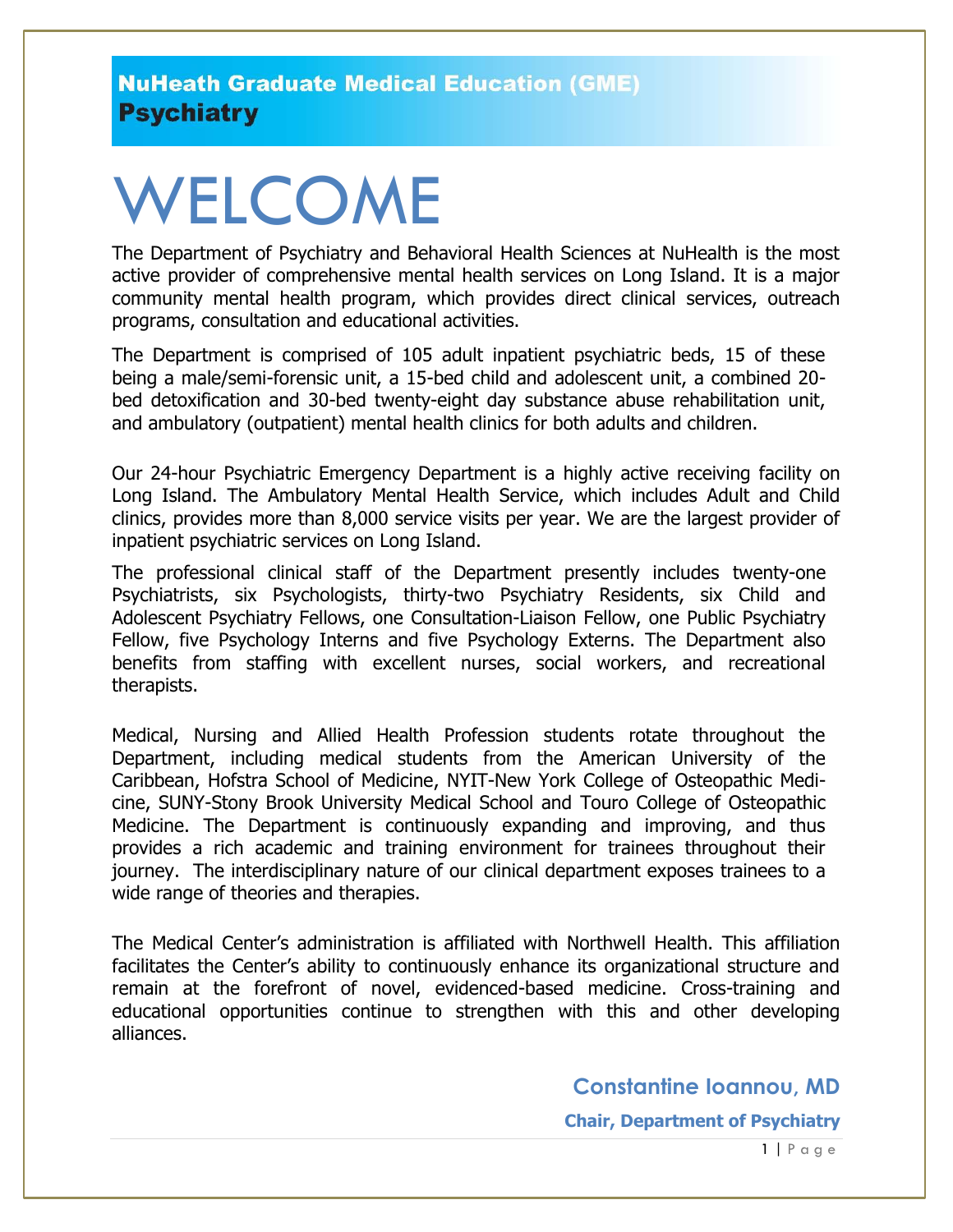# WELCOME

The Department of Psychiatry and Behavioral Health Sciences at NuHealth is the most active provider of comprehensive mental health services on Long Island. It is a major community mental health program, which provides direct clinical services, outreach programs, consultation and educational activities.

The Department is comprised of 105 adult inpatient psychiatric beds, 15 of these being a male/semi-forensic unit, a 15-bed child and adolescent unit, a combined 20 bed detoxification and 30-bed twenty-eight day substance abuse rehabilitation unit, and ambulatory (outpatient) mental health clinics for both adults and children.

Our 24-hour Psychiatric Emergency Department is a highly active receiving facility on Long Island. The Ambulatory Mental Health Service, which includes Adult and Child clinics, provides more than 8,000 service visits per year. We are the largest provider of inpatient psychiatric services on Long Island.

The professional clinical staff of the Department presently includes twenty-one Psychiatrists, six Psychologists, thirty-two Psychiatry Residents, six Child and Adolescent Psychiatry Fellows, one Consultation-Liaison Fellow, one Public Psychiatry Fellow, five Psychology Interns and five Psychology Externs. The Department also benefits from staffing with excellent nurses, social workers, and recreational therapists.

Medical, Nursing and Allied Health Profession students rotate throughout the Department, including medical students from the American University of the Caribbean, Hofstra School of Medicine, NYIT-New York College of Osteopathic Medicine, SUNY-Stony Brook University Medical School and Touro College of Osteopathic Medicine. The Department is continuously expanding and improving, and thus provides a rich academic and training environment for trainees throughout their journey. The interdisciplinary nature of our clinical department exposes trainees to a wide range of theories and therapies.

The Medical Center's administration is affiliated with Northwell Health. This affiliation facilitates the Center's ability to continuously enhance its organizational structure and remain at the forefront of novel, evidenced-based medicine. Cross-training and educational opportunities continue to strengthen with this and other developing alliances.

**Constantine Ioannou, MD**

**Chair, Department of Psychiatry**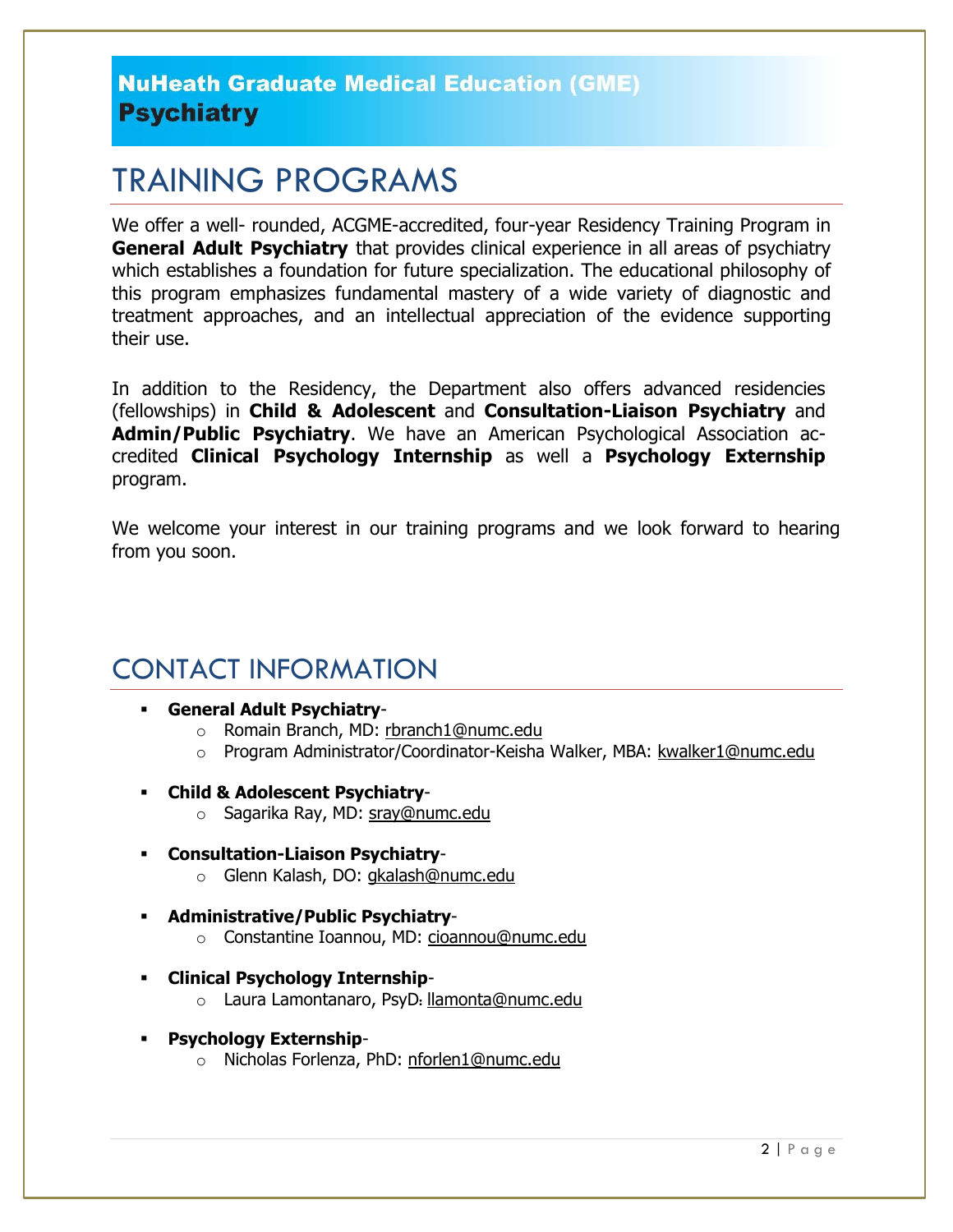# TRAINING PROGRAMS

We offer a well- rounded, ACGME-accredited, four-year Residency Training Program in **General Adult Psychiatry** that provides clinical experience in all areas of psychiatry which establishes a foundation for future specialization. The educational philosophy of this program emphasizes fundamental mastery of a wide variety of diagnostic and treatment approaches, and an intellectual appreciation of the evidence supporting their use.

In addition to the Residency, the Department also offers advanced residencies (fellowships) in **Child & Adolescent** and **Consultation-Liaison Psychiatry** and **Admin/Public Psychiatry**. We have an American Psychological Association accredited **Clinical Psychology Internship** as well a **Psychology Externship** program.

We welcome your interest in our training programs and we look forward to hearing from you soon.

### CONTACT INFORMATION

- **General Adult Psychiatry**
	- o Romain Branch, MD: [rbranch1@numc.edu](mailto:rbranch1@numc.edu)
	- o Program Administrator/Coordinator-Keisha Walker, MBA: [kwalker1@numc.edu](mailto:kwalker1@numc.edu)
- **Child & Adolescent Psychiatry**
	- o Sagarika Ray, MD: [sray@numc.edu](mailto:sray@numc.edu)
- **Consultation-Liaison Psychiatry**o Glenn Kalash, DO: [gkalash@numc.edu](mailto:gkalash@numc.edu)
- **Administrative/Public Psychiatry**
	- o Constantine Ioannou, MD: cioannou@numc.edu
- **Clinical Psychology Internship**
	- o Laura Lamontanaro, PsyD: [llamonta@numc.edu](mailto:llamonta@numc.edu)
- **Psychology Externship**
	- o Nicholas Forlenza, PhD: [nforlen1@numc.edu](mailto:nforlen1@numc.edu)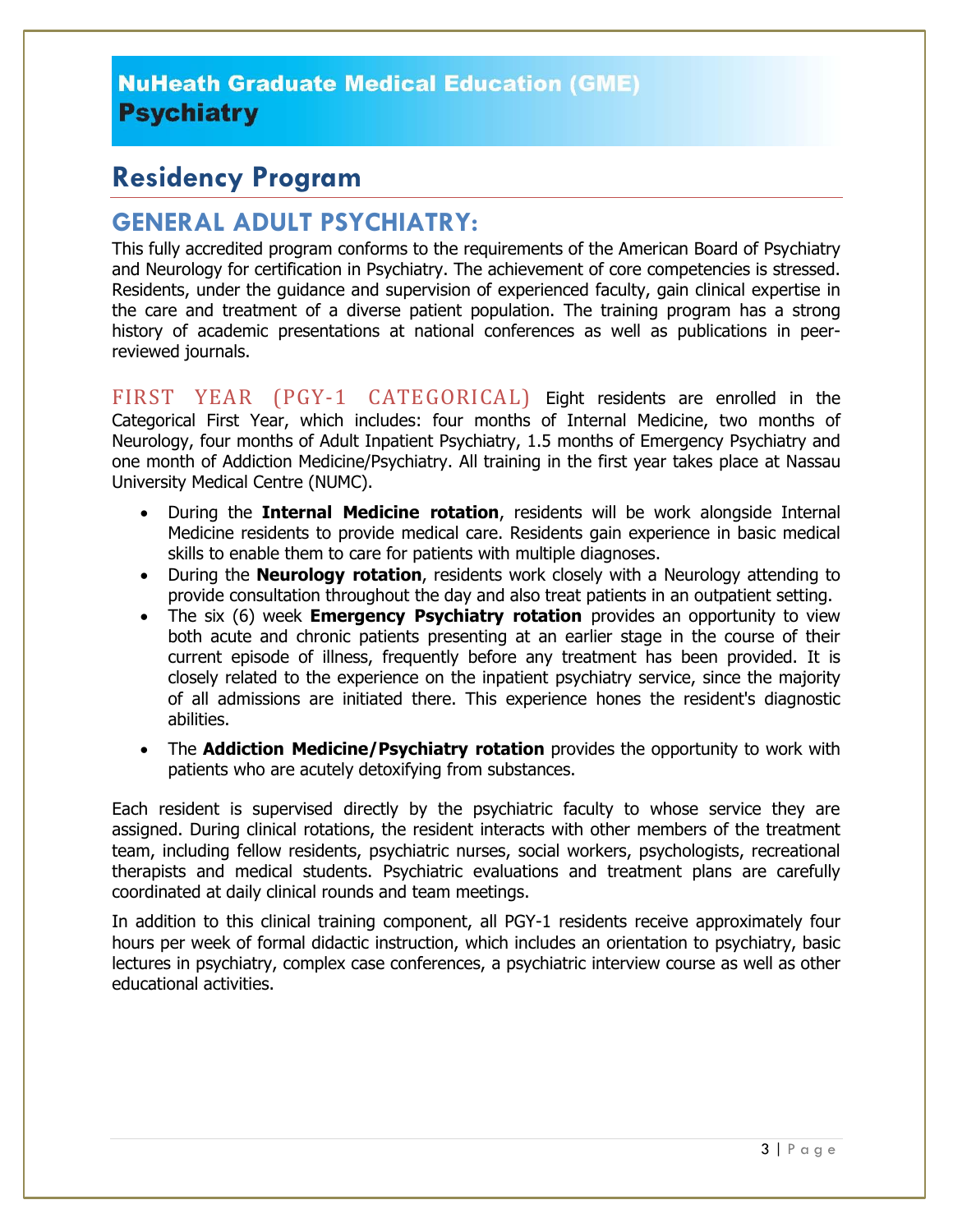## **Residency Program**

#### **GENERAL ADULT PSYCHIATRY:**

This fully accredited program conforms to the requirements of the American Board of Psychiatry and Neurology for certification in Psychiatry. The achievement of core competencies is stressed. Residents, under the guidance and supervision of experienced faculty, gain clinical expertise in the care and treatment of a diverse patient population. The training program has a strong history of academic presentations at national conferences as well as publications in peerreviewed journals.

FIRST YEAR (PGY-1 CATEGORICAL) Eight residents are enrolled in the Categorical First Year, which includes: four months of Internal Medicine, two months of Neurology, four months of Adult Inpatient Psychiatry, 1.5 months of Emergency Psychiatry and one month of Addiction Medicine/Psychiatry. All training in the first year takes place at Nassau University Medical Centre (NUMC).

- During the **Internal Medicine rotation**, residents will be work alongside Internal Medicine residents to provide medical care. Residents gain experience in basic medical skills to enable them to care for patients with multiple diagnoses.
- During the **Neurology rotation**, residents work closely with a Neurology attending to provide consultation throughout the day and also treat patients in an outpatient setting.
- The six (6) week **Emergency Psychiatry rotation** provides an opportunity to view both acute and chronic patients presenting at an earlier stage in the course of their current episode of illness, frequently before any treatment has been provided. It is closely related to the experience on the inpatient psychiatry service, since the majority of all admissions are initiated there. This experience hones the resident's diagnostic abilities.
- The **Addiction Medicine/Psychiatry rotation** provides the opportunity to work with patients who are acutely detoxifying from substances.

Each resident is supervised directly by the psychiatric faculty to whose service they are assigned. During clinical rotations, the resident interacts with other members of the treatment team, including fellow residents, psychiatric nurses, social workers, psychologists, recreational therapists and medical students. Psychiatric evaluations and treatment plans are carefully coordinated at daily clinical rounds and team meetings.

In addition to this clinical training component, all PGY-1 residents receive approximately four hours per week of formal didactic instruction, which includes an orientation to psychiatry, basic lectures in psychiatry, complex case conferences, a psychiatric interview course as well as other educational activities.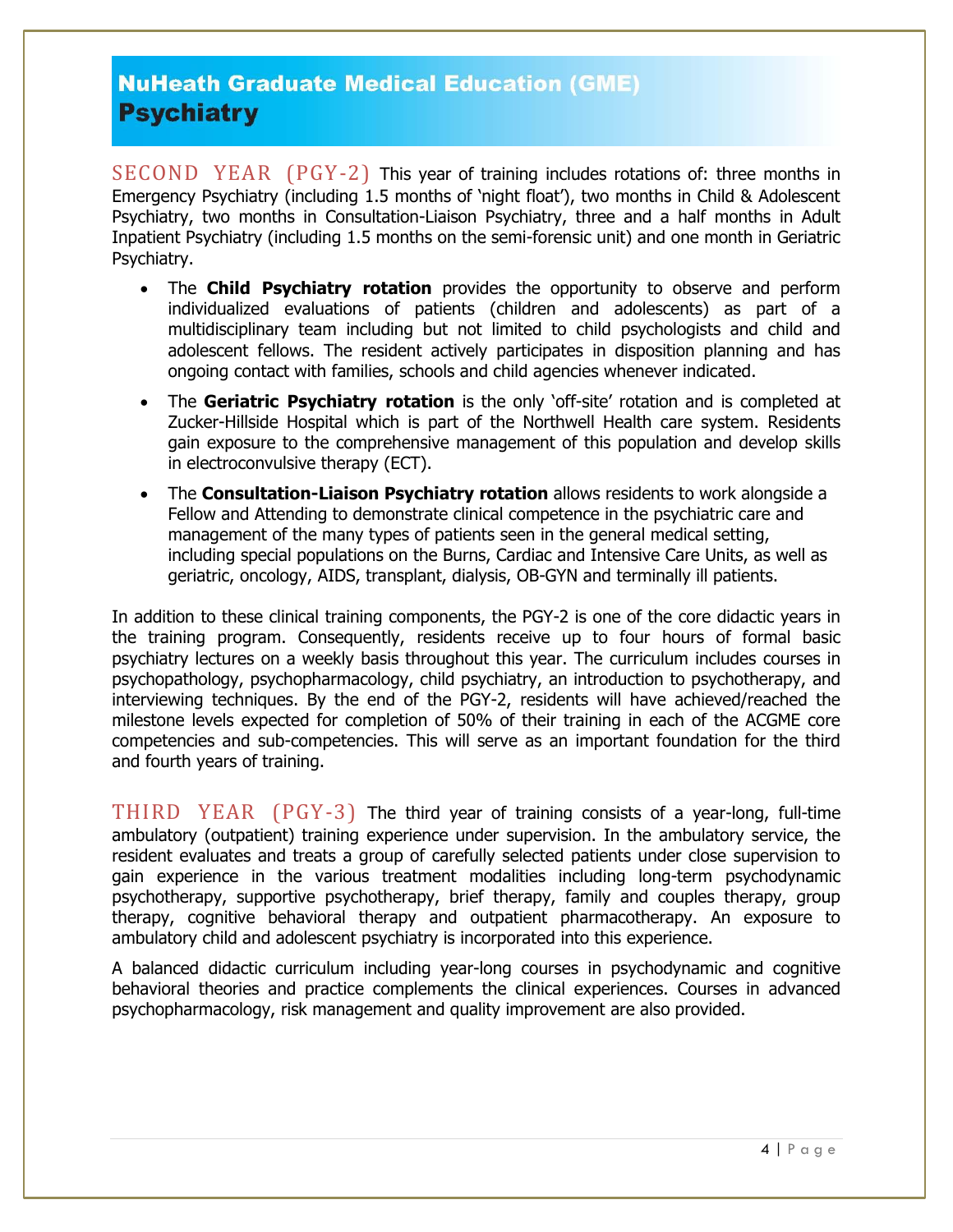SECOND YEAR (PGY-2) This year of training includes rotations of: three months in Emergency Psychiatry (including 1.5 months of 'night float'), two months in Child & Adolescent Psychiatry, two months in Consultation-Liaison Psychiatry, three and a half months in Adult Inpatient Psychiatry (including 1.5 months on the semi-forensic unit) and one month in Geriatric Psychiatry.

- The **Child Psychiatry rotation** provides the opportunity to observe and perform individualized evaluations of patients (children and adolescents) as part of a multidisciplinary team including but not limited to child psychologists and child and adolescent fellows. The resident actively participates in disposition planning and has ongoing contact with families, schools and child agencies whenever indicated.
- The **Geriatric Psychiatry rotation** is the only 'off-site' rotation and is completed at Zucker-Hillside Hospital which is part of the Northwell Health care system. Residents gain exposure to the comprehensive management of this population and develop skills in electroconvulsive therapy (ECT).
- The **Consultation-Liaison Psychiatry rotation** allows residents to work alongside a Fellow and Attending to demonstrate clinical competence in the psychiatric care and management of the many types of patients seen in the general medical setting, including special populations on the Burns, Cardiac and Intensive Care Units, as well as geriatric, oncology, AIDS, transplant, dialysis, OB-GYN and terminally ill patients.

In addition to these clinical training components, the PGY-2 is one of the core didactic years in the training program. Consequently, residents receive up to four hours of formal basic psychiatry lectures on a weekly basis throughout this year. The curriculum includes courses in psychopathology, psychopharmacology, child psychiatry, an introduction to psychotherapy, and interviewing techniques. By the end of the PGY-2, residents will have achieved/reached the milestone levels expected for completion of 50% of their training in each of the ACGME core competencies and sub-competencies. This will serve as an important foundation for the third and fourth years of training.

THIRD YEAR (PGY-3) The third year of training consists of a year-long, full-time ambulatory (outpatient) training experience under supervision. In the ambulatory service, the resident evaluates and treats a group of carefully selected patients under close supervision to gain experience in the various treatment modalities including long-term psychodynamic psychotherapy, supportive psychotherapy, brief therapy, family and couples therapy, group therapy, cognitive behavioral therapy and outpatient pharmacotherapy. An exposure to ambulatory child and adolescent psychiatry is incorporated into this experience.

A balanced didactic curriculum including year-long courses in psychodynamic and cognitive behavioral theories and practice complements the clinical experiences. Courses in advanced psychopharmacology, risk management and quality improvement are also provided.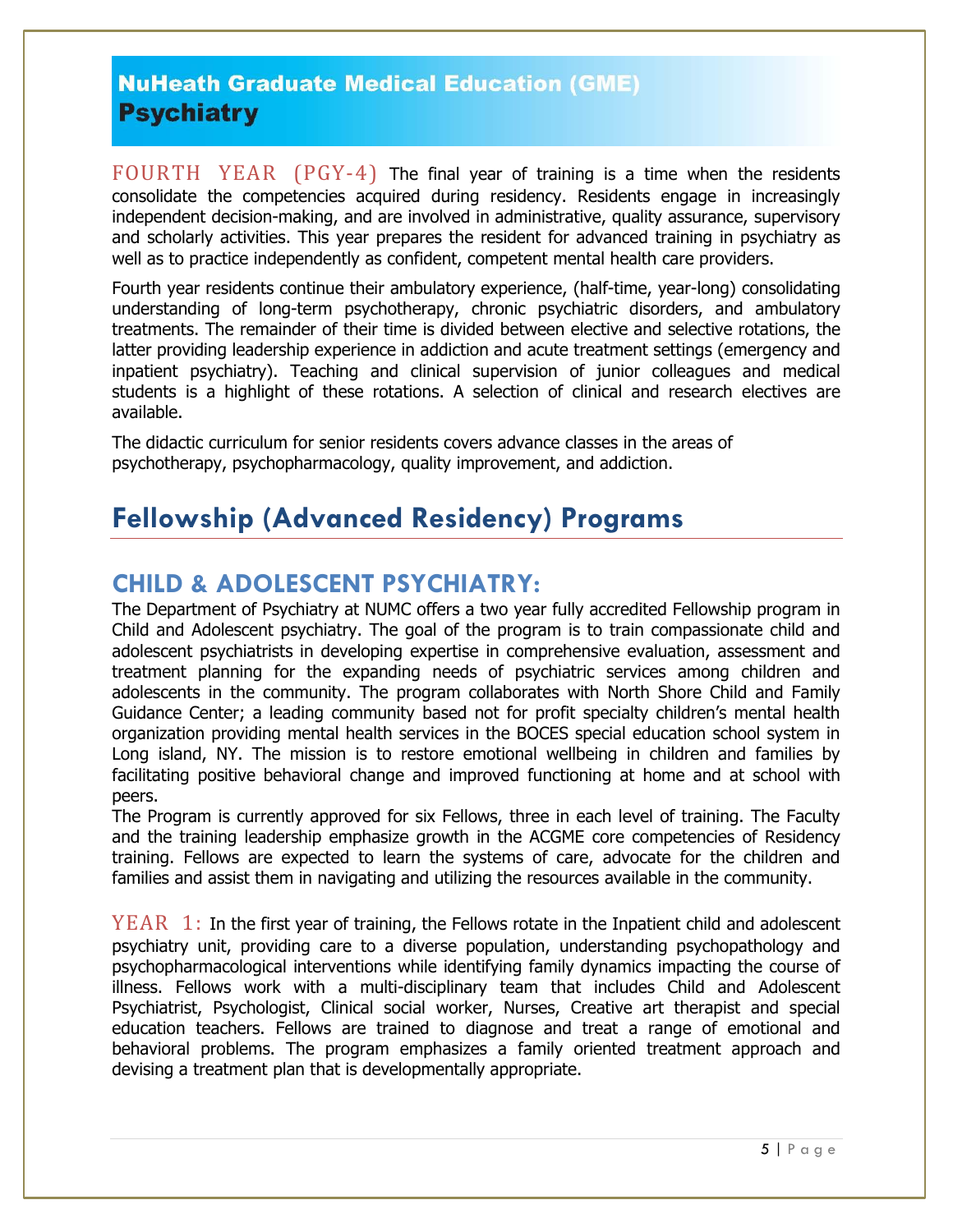FOURTH YEAR (PGY-4) The final year of training is a time when the residents consolidate the competencies acquired during residency. Residents engage in increasingly independent decision-making, and are involved in administrative, quality assurance, supervisory and scholarly activities. This year prepares the resident for advanced training in psychiatry as well as to practice independently as confident, competent mental health care providers.

Fourth year residents continue their ambulatory experience, (half-time, year-long) consolidating understanding of long-term psychotherapy, chronic psychiatric disorders, and ambulatory treatments. The remainder of their time is divided between elective and selective rotations, the latter providing leadership experience in addiction and acute treatment settings (emergency and inpatient psychiatry). Teaching and clinical supervision of junior colleagues and medical students is a highlight of these rotations. A selection of clinical and research electives are available.

The didactic curriculum for senior residents covers advance classes in the areas of psychotherapy, psychopharmacology, quality improvement, and addiction.

# **Fellowship (Advanced Residency) Programs**

#### **CHILD & ADOLESCENT PSYCHIATRY:**

The Department of Psychiatry at NUMC offers a two year fully accredited Fellowship program in Child and Adolescent psychiatry. The goal of the program is to train compassionate child and adolescent psychiatrists in developing expertise in comprehensive evaluation, assessment and treatment planning for the expanding needs of psychiatric services among children and adolescents in the community. The program collaborates with North Shore Child and Family Guidance Center; a leading community based not for profit specialty children's mental health organization providing mental health services in the BOCES special education school system in Long island, NY. The mission is to restore emotional wellbeing in children and families by facilitating positive behavioral change and improved functioning at home and at school with peers.

The Program is currently approved for six Fellows, three in each level of training. The Faculty and the training leadership emphasize growth in the ACGME core competencies of Residency training. Fellows are expected to learn the systems of care, advocate for the children and families and assist them in navigating and utilizing the resources available in the community.

 $YEAR$  1: In the first year of training, the Fellows rotate in the Inpatient child and adolescent psychiatry unit, providing care to a diverse population, understanding psychopathology and psychopharmacological interventions while identifying family dynamics impacting the course of illness. Fellows work with a multi-disciplinary team that includes Child and Adolescent Psychiatrist, Psychologist, Clinical social worker, Nurses, Creative art therapist and special education teachers. Fellows are trained to diagnose and treat a range of emotional and behavioral problems. The program emphasizes a family oriented treatment approach and devising a treatment plan that is developmentally appropriate.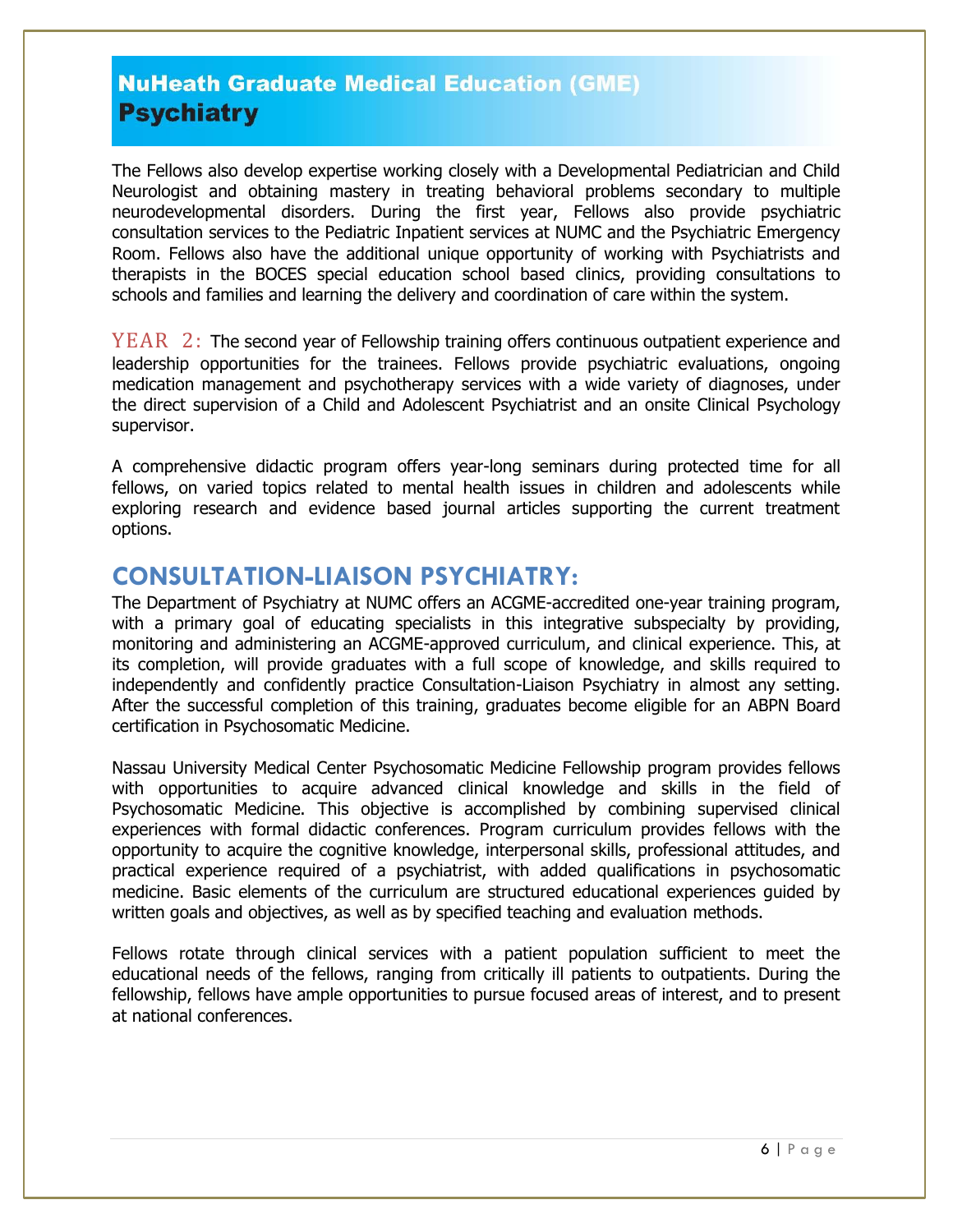The Fellows also develop expertise working closely with a Developmental Pediatrician and Child Neurologist and obtaining mastery in treating behavioral problems secondary to multiple neurodevelopmental disorders. During the first year, Fellows also provide psychiatric consultation services to the Pediatric Inpatient services at NUMC and the Psychiatric Emergency Room. Fellows also have the additional unique opportunity of working with Psychiatrists and therapists in the BOCES special education school based clinics, providing consultations to schools and families and learning the delivery and coordination of care within the system.

YEAR 2: The second year of Fellowship training offers continuous outpatient experience and leadership opportunities for the trainees. Fellows provide psychiatric evaluations, ongoing medication management and psychotherapy services with a wide variety of diagnoses, under the direct supervision of a Child and Adolescent Psychiatrist and an onsite Clinical Psychology supervisor.

A comprehensive didactic program offers year-long seminars during protected time for all fellows, on varied topics related to mental health issues in children and adolescents while exploring research and evidence based journal articles supporting the current treatment options.

#### **CONSULTATION-LIAISON PSYCHIATRY:**

The Department of Psychiatry at NUMC offers an ACGME-accredited one-year training program, with a primary goal of educating specialists in this integrative subspecialty by providing, monitoring and administering an ACGME-approved curriculum, and clinical experience. This, at its completion, will provide graduates with a full scope of knowledge, and skills required to independently and confidently practice Consultation-Liaison Psychiatry in almost any setting. After the successful completion of this training, graduates become eligible for an ABPN Board certification in Psychosomatic Medicine.

Nassau University Medical Center Psychosomatic Medicine Fellowship program provides fellows with opportunities to acquire advanced clinical knowledge and skills in the field of Psychosomatic Medicine. This objective is accomplished by combining supervised clinical experiences with formal didactic conferences. Program curriculum provides fellows with the opportunity to acquire the cognitive knowledge, interpersonal skills, professional attitudes, and practical experience required of a psychiatrist, with added qualifications in psychosomatic medicine. Basic elements of the curriculum are structured educational experiences guided by written goals and objectives, as well as by specified teaching and evaluation methods.

Fellows rotate through clinical services with a patient population sufficient to meet the educational needs of the fellows, ranging from critically ill patients to outpatients. During the fellowship, fellows have ample opportunities to pursue focused areas of interest, and to present at national conferences.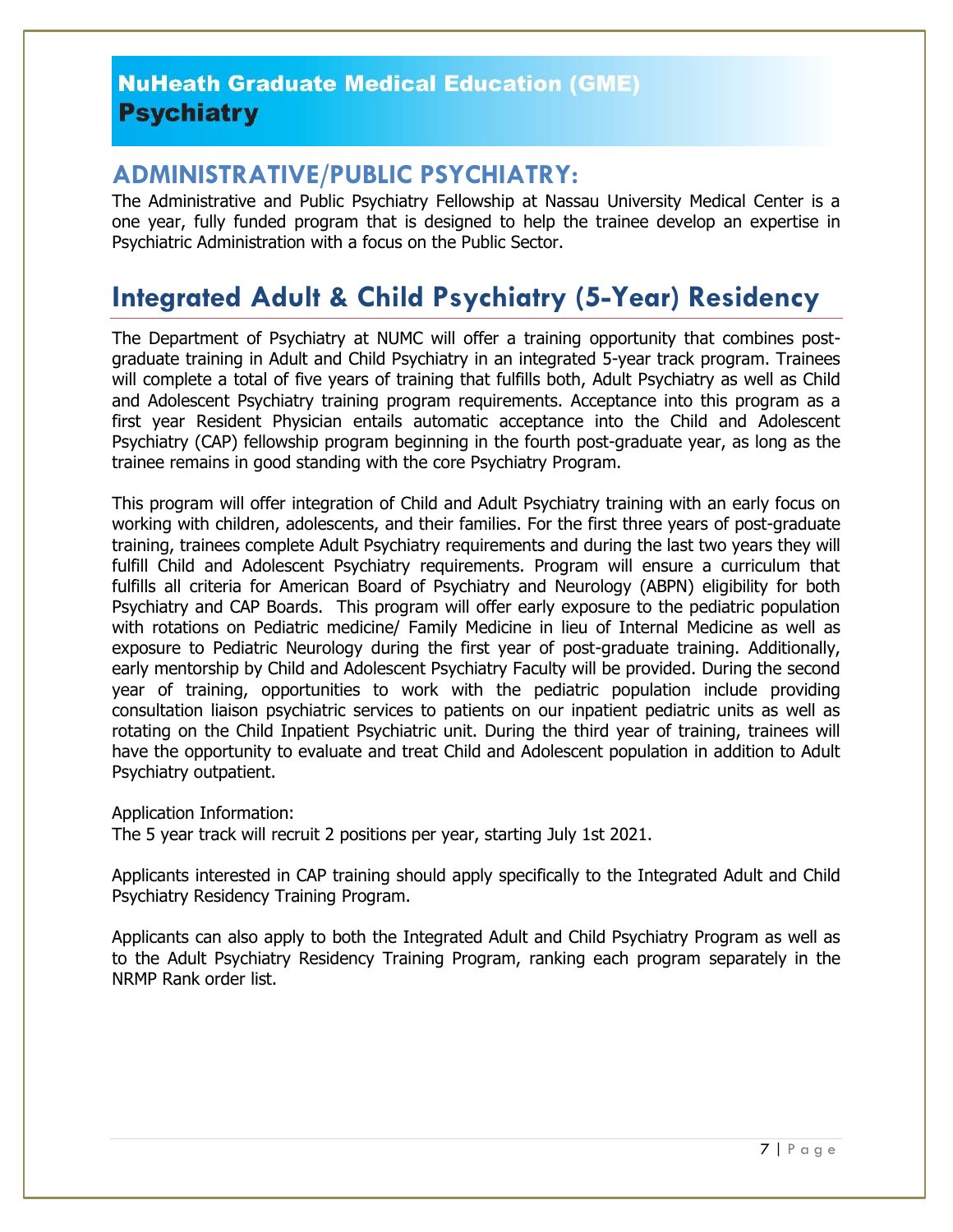#### **ADMINISTRATIVE/PUBLIC PSYCHIATRY:**

The Administrative and Public Psychiatry Fellowship at Nassau University Medical Center is a one year, fully funded program that is designed to help the trainee develop an expertise in Psychiatric Administration with a focus on the Public Sector.

# **Integrated Adult & Child Psychiatry (5-Year) Residency**

The Department of Psychiatry at NUMC will offer a training opportunity that combines postgraduate training in Adult and Child Psychiatry in an integrated 5-year track program. Trainees will complete a total of five years of training that fulfills both, Adult Psychiatry as well as Child and Adolescent Psychiatry training program requirements. Acceptance into this program as a first year Resident Physician entails automatic acceptance into the Child and Adolescent Psychiatry (CAP) fellowship program beginning in the fourth post-graduate year, as long as the trainee remains in good standing with the core Psychiatry Program.

This program will offer integration of Child and Adult Psychiatry training with an early focus on working with children, adolescents, and their families. For the first three years of post-graduate training, trainees complete Adult Psychiatry requirements and during the last two years they will fulfill Child and Adolescent Psychiatry requirements. Program will ensure a curriculum that fulfills all criteria for American Board of Psychiatry and Neurology (ABPN) eligibility for both Psychiatry and CAP Boards. This program will offer early exposure to the pediatric population with rotations on Pediatric medicine/ Family Medicine in lieu of Internal Medicine as well as exposure to Pediatric Neurology during the first year of post-graduate training. Additionally, early mentorship by Child and Adolescent Psychiatry Faculty will be provided. During the second year of training, opportunities to work with the pediatric population include providing consultation liaison psychiatric services to patients on our inpatient pediatric units as well as rotating on the Child Inpatient Psychiatric unit. During the third year of training, trainees will have the opportunity to evaluate and treat Child and Adolescent population in addition to Adult Psychiatry outpatient.

Application Information:

The 5 year track will recruit 2 positions per year, starting July 1st 2021.

Applicants interested in CAP training should apply specifically to the Integrated Adult and Child Psychiatry Residency Training Program.

Applicants can also apply to both the Integrated Adult and Child Psychiatry Program as well as to the Adult Psychiatry Residency Training Program, ranking each program separately in the NRMP Rank order list.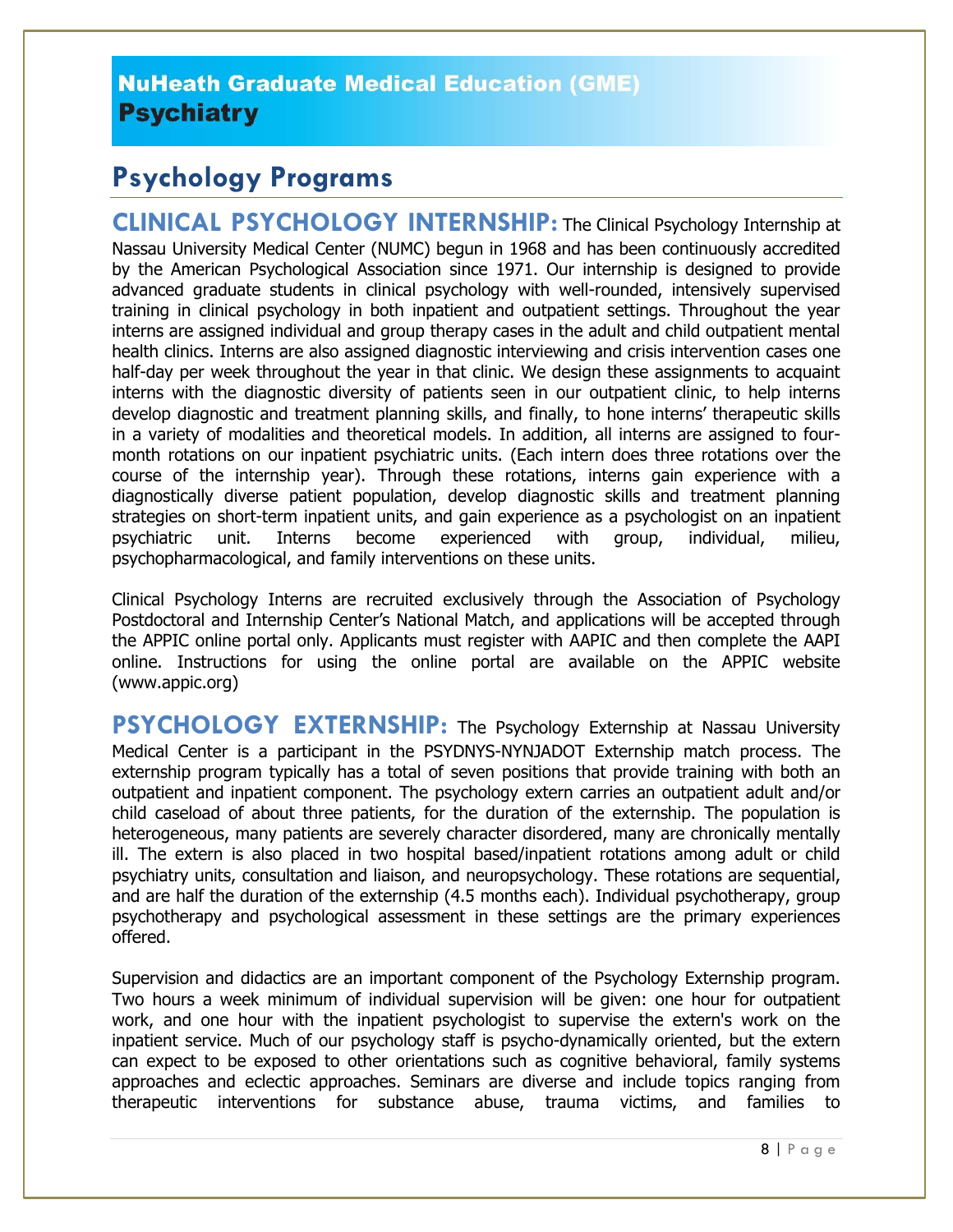# **Psychology Programs**

**CLINICAL PSYCHOLOGY INTERNSHIP:** The Clinical Psychology Internship at Nassau University Medical Center (NUMC) begun in 1968 and has been continuously accredited by the American Psychological Association since 1971. Our internship is designed to provide advanced graduate students in clinical psychology with well-rounded, intensively supervised training in clinical psychology in both inpatient and outpatient settings. Throughout the year interns are assigned individual and group therapy cases in the adult and child outpatient mental health clinics. Interns are also assigned diagnostic interviewing and crisis intervention cases one half-day per week throughout the year in that clinic. We design these assignments to acquaint interns with the diagnostic diversity of patients seen in our outpatient clinic, to help interns develop diagnostic and treatment planning skills, and finally, to hone interns' therapeutic skills in a variety of modalities and theoretical models. In addition, all interns are assigned to fourmonth rotations on our inpatient psychiatric units. (Each intern does three rotations over the course of the internship year). Through these rotations, interns gain experience with a diagnostically diverse patient population, develop diagnostic skills and treatment planning strategies on short-term inpatient units, and gain experience as a psychologist on an inpatient psychiatric unit. Interns become experienced with group, individual, milieu, psychopharmacological, and family interventions on these units.

Clinical Psychology Interns are recruited exclusively through the Association of Psychology Postdoctoral and Internship Center's National Match, and applications will be accepted through the APPIC online portal only. Applicants must register with AAPIC and then complete the AAPI online. Instructions for using the online portal are available on the APPIC website [\(www.appic.org\)](http://www.appic.org/)

**PSYCHOLOGY EXTERNSHIP:** The Psychology Externship at Nassau University Medical Center is a participant in the PSYDNYS-NYNJADOT Externship match process. The externship program typically has a total of seven positions that provide training with both an outpatient and inpatient component. The psychology extern carries an outpatient adult and/or child caseload of about three patients, for the duration of the externship. The population is heterogeneous, many patients are severely character disordered, many are chronically mentally ill. The extern is also placed in two hospital based/inpatient rotations among adult or child psychiatry units, consultation and liaison, and neuropsychology. These rotations are sequential, and are half the duration of the externship (4.5 months each). Individual psychotherapy, group psychotherapy and psychological assessment in these settings are the primary experiences offered.

Supervision and didactics are an important component of the Psychology Externship program. Two hours a week minimum of individual supervision will be given: one hour for outpatient work, and one hour with the inpatient psychologist to supervise the extern's work on the inpatient service. Much of our psychology staff is psycho-dynamically oriented, but the extern can expect to be exposed to other orientations such as cognitive behavioral, family systems approaches and eclectic approaches. Seminars are diverse and include topics ranging from therapeutic interventions for substance abuse, trauma victims, and families to